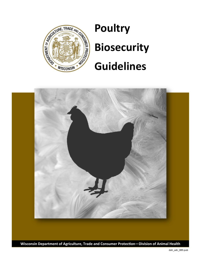

# **Poultry Biosecurity**

# **Guidelines**



**Wisconsin Department of Agriculture, Trade and Consumer Protection—Division of Animal Health**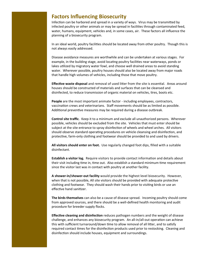### **Factors Influencing Biosecurity**

Infection can be harbored and spread in a variety of ways. Virus may be transmitted by infected poultry or other animals or may be spread in facilities through contaminated feed, water, humans, equipment, vehicles and, in some cases, air. These factors all influence the planning of a biosecurity program.

In an ideal world, poultry facilities should be located away from other poultry. Though this is not always easily addressed.

Disease avoidance measures are worthwhile and can be undertaken at various stages. For example, in the building stage, avoid locating poultry facilities near waterways, ponds or lakes utilized by migratory water fowl, and choose well drained areas to avoid standing water. Wherever possible, poultry houses should also be located away from major roads that handle high volumes of vehicles, including those that move poultry.

**Effective waste disposal** and removal of used litter from the site is essential. Areas around houses should be constructed of materials and surfaces that can be cleansed and disinfected, to reduce transmission of organic material on vehicles, tires, boots etc.

**People** are the most important animate factor - including employees, contractors, vaccination crews and veterinarians. Staff movements should be as limited as possible. Additional preventive measures may be required during a disease outbreak.

**Control site traffic**. Keep it to a minimum and exclude all unauthorized persons. Wherever possible, vehicles should be excluded from the site. Vehicles that must enter should be subject at the site entrance to spray disinfection of wheels and wheel arches. All visitors should observe standard operating procedures on vehicle cleansing and disinfection, and protective, farm-only clothing and footwear should be provided to and used by drivers.

**All visitors should enter on foot.** Use regularly changed foot dips, filled with a suitable disinfectant.

**Establish a visitor log.** Require visitors to provide contact information and details about their visit including time in, time out. Also establish a standard minimum time requirement since the visitor last was in contact with poultry at another facility.

**A shower-in/shower-out facility** would provide the highest level biosecurity. However, when that is not possible, All site visitors should be provided with adequate protective clothing and footwear. They should wash their hands prior to visiting birds or use an effective hand sanitizer.

**The birds themselves** can also be a cause of disease spread. Incoming poultry should come from approved sources, and there should be a well-defined health monitoring and audit procedure for breeder supply flocks.

**Effective cleaning and disinfection** reduces pathogen numbers and the weight of disease challenge, and enhances any biosecurity program. An all-in/all-out operation can achieve this with sufficient turnaround/down time to allow removal of all litter, and to satisfy required contact times for the disinfection products used prior to restocking. Cleaning and disinfection should include houses, equipment and surroundings.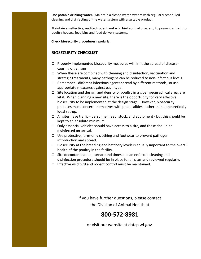**Use potable drinking water.** Maintain a closed water system with regularly scheduled cleaning and disinfecting of the water system with a suitable product.

**Maintain an effective, audited rodent and wild bird control program,** to prevent entry into poultry houses, feed bins and feed delivery systems.

**Check biosecurity procedures** regularly.

#### **BIOSECURITY CHECKLIST**

- $\Box$  Properly implemented biosecurity measures will limit the spread of diseasecausing organisms.
- $\Box$  When these are combined with cleaning and disinfection, vaccination and strategic treatments, many pathogens can be reduced to non-infectious levels.
- $\Box$  Remember different infectious agents spread by different methods, so use appropriate measures against each type.
- $\Box$  Site location and design, and density of poultry in a given geographical area, are vital. When planning a new site, there is the opportunity for very effective biosecurity to be implemented at the design stage. However, biosecurity practices must concern themselves with practicalities, rather than a theoretically ideal set-up.
- $\Box$  All sites have traffic personnel, feed, stock, and equipment but this should be kept to an absolute minimum.
- $\Box$  Only essential vehicles should have access to a site, and these should be disinfected on arrival.
- $\Box$  Use protective, farm-only clothing and footwear to prevent pathogen introduction and spread.
- $\Box$  Biosecurity at the breeding and hatchery levels is equally important to the overall health of the poultry in the facility.
- $\Box$  Site decontamination, turnaround times and an enforced cleaning and disinfection procedure should be in place for all sites and reviewed regularly.
- $\Box$  Fffective wild bird and rodent control must be maintained.

If you have further questions, please contact the Division of Animal Health at

## **800-572-8981**

or visit our website at datcp.wi.gov.